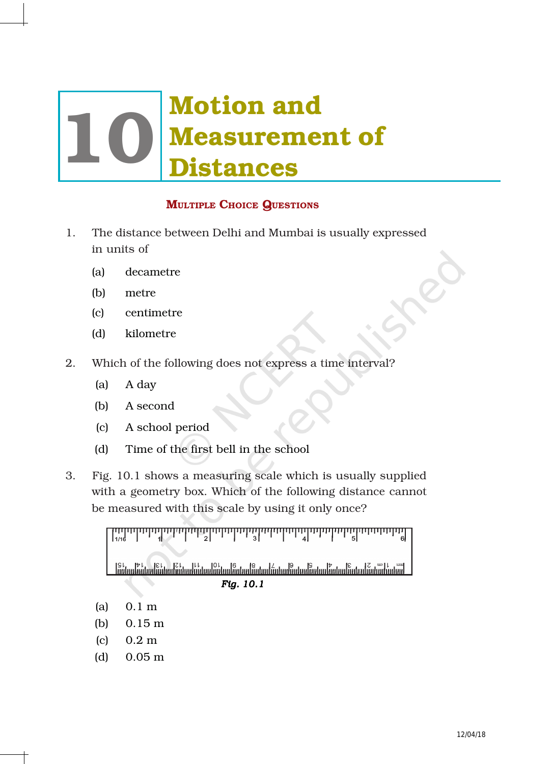# Motion and **Measurement of<br>Distances**

## MULTIPLE CHOICE QUESTIONS

- 1. The distance between Delhi and Mumbai is usually expressed in units of
	- (a) decametre
	- (b) metre
	- (c) centimetre
	- (d) kilometre
- 2. Which of the following does not express a time interval?
	- (a) A day
	- (b) A second
	- (c) A school period
	- (d) Time of the first bell in the school
- 3. Fig. 10.1 shows a measuring scale which is usually supplied with a geometry box. Which of the following distance cannot be measured with this scale by using it only once?

<u>սին անհանդան անհանդան է անհանդան է անհանդան է անհանդան է անհանդան է անհանդան է անհանդան է անհանդան է անհանդան</u> *Fig. 10.1* 

- (a) 0.1 m
- (b) 0.15 m
- (c) 0.2 m
- (d) 0.05 m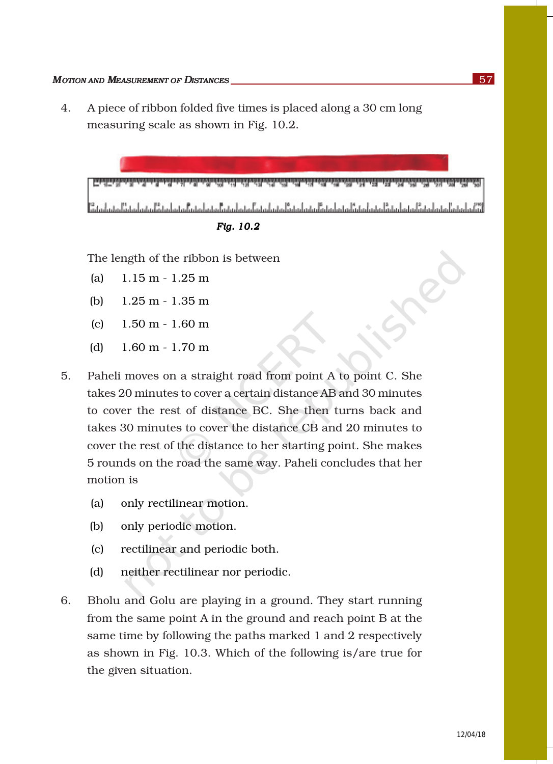4. A piece of ribbon folded five times is placed along a 30 cm long measuring scale as shown in Fig. 10.2.



*Fig. 10.2* 

The length of the ribbon is between

- (a) 1.15 m 1.25 m
- (b) 1.25 m 1.35 m
- (c) 1.50 m 1.60 m
- (d) 1.60 m 1.70 m
- 5. Paheli moves on a straight road from point A to point C. She takes 20 minutes to cover a certain distance AB and 30 minutes to cover the rest of distance BC. She then turns back and takes 30 minutes to cover the distance CB and 20 minutes to cover the rest of the distance to her starting point. She makes 5 rounds on the road the same way. Paheli concludes that her motion is
	- (a) only rectilinear motion.
	- (b) only periodic motion.
	- (c) rectilinear and periodic both.
	- (d) neither rectilinear nor periodic.
- 6. Bholu and Golu are playing in a ground. They start running from the same point A in the ground and reach point B at the same time by following the paths marked 1 and 2 respectively as shown in Fig. 10.3. Which of the following is/are true for the given situation.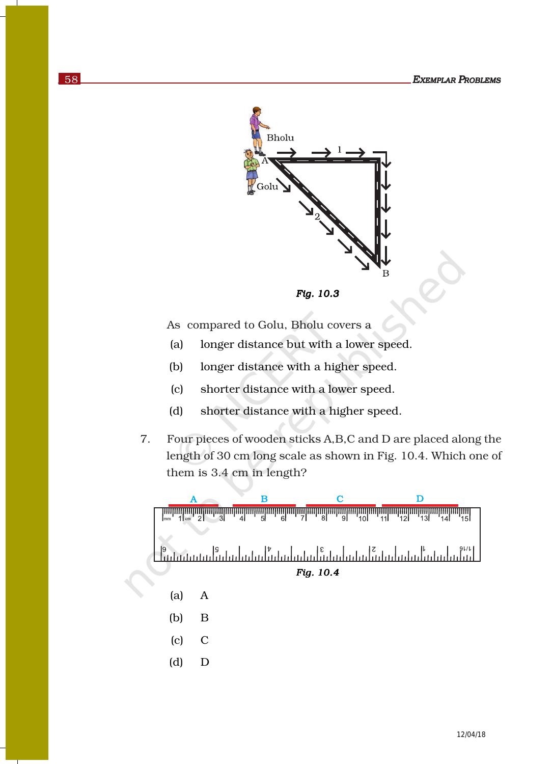

*Fig. 10.3* 

As compared to Golu, Bholu covers a

- (a) longer distance but with a lower speed.
- (b) longer distance with a higher speed.
- (c) shorter distance with a lower speed.
- (d) shorter distance with a higher speed.
- 7. Four pieces of wooden sticks A,B,C and D are placed along the length of 30 cm long scale as shown in Fig. 10.4. Which one of them is 3.4 cm in length?

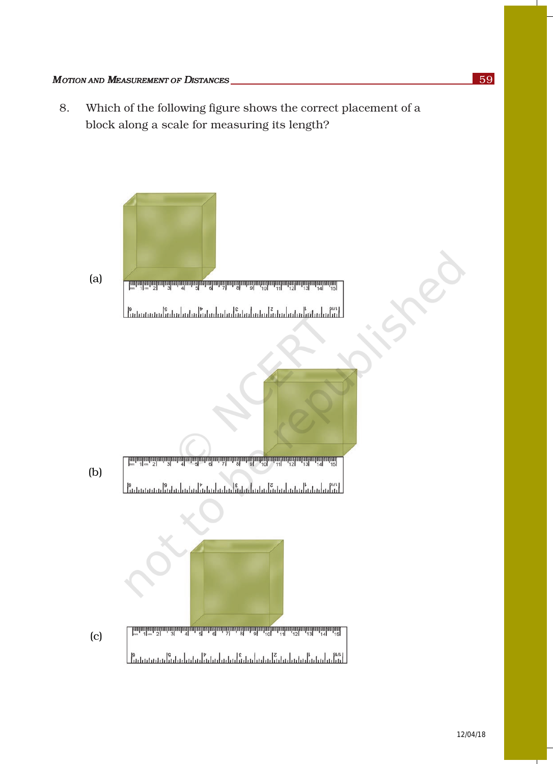8. Which of the following figure shows the correct placement of a block along a scale for measuring its length?

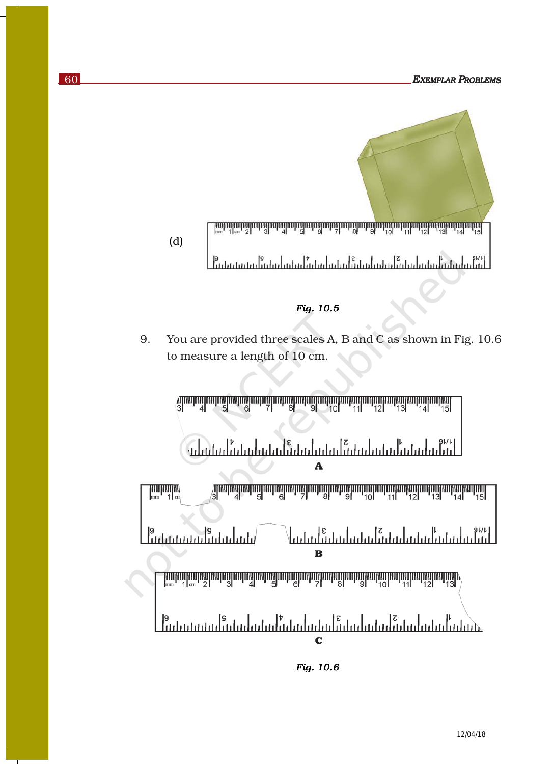

*Fig. 10.6*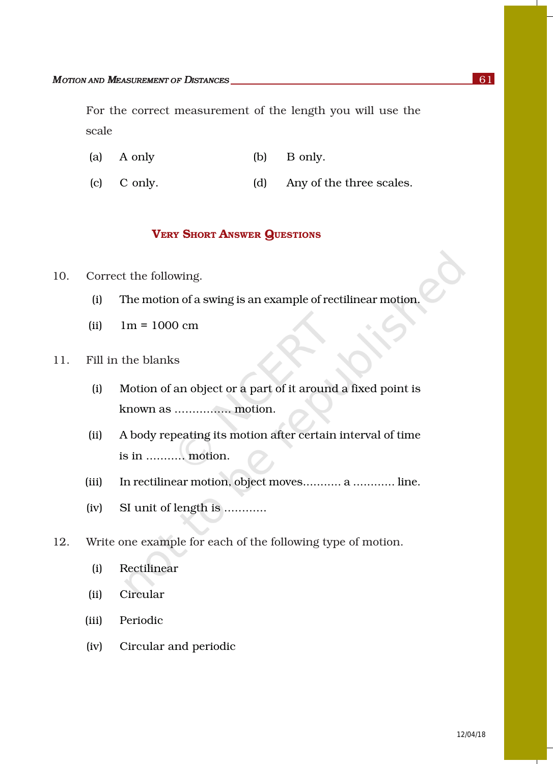For the correct measurement of the length you will use the scale

- (a) A only (b) B only.
- (c) C only. (d) Any of the three scales.

### VERY SHORT ANSWER QUESTIONS

- 10. Correct the following.
	- (i) The motion of a swing is an example of rectilinear motion.
	- $(iii)$  1m = 1000 cm
- 11. Fill in the blanks
	- (i) Motion of an object or a part of it around a fixed point is known as ................ motion.
	- (ii) A body repeating its motion after certain interval of time is in ........... motion.
	- (iii) In rectilinear motion, object moves........... a ............ line.
	- (iv) SI unit of length is ............
- 12. Write one example for each of the following type of motion.
	- (i) Rectilinear
	- (ii) Circular
	- (iii) Periodic
	- (iv) Circular and periodic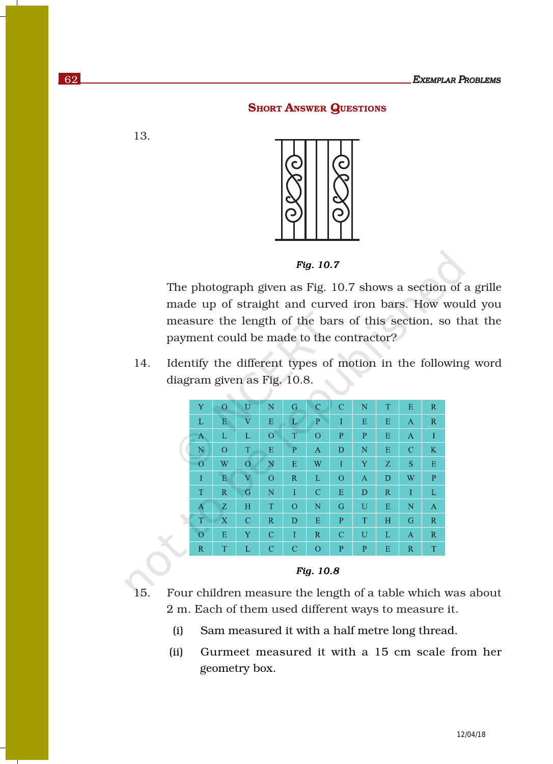#### **SHORT ANSWER QUESTIONS**

13.



*Fig. 10.7* 

The photograph given as Fig. 10.7 shows a section of a grille made up of straight and curved iron bars. How would you measure the length of the bars of this section, so that the payment could be made to the contractor?

14. Identify the different types of motion in the following word diagram given as Fig. 10.8.



*Fig. 10.8* 

- 15. Four children measure the length of a table which was about 2 m. Each of them used different ways to measure it.
	- (i) Sam measured it with a half metre long thread.
	- (ii) Gurmeet measured it with a 15 cm scale from her geometry box.